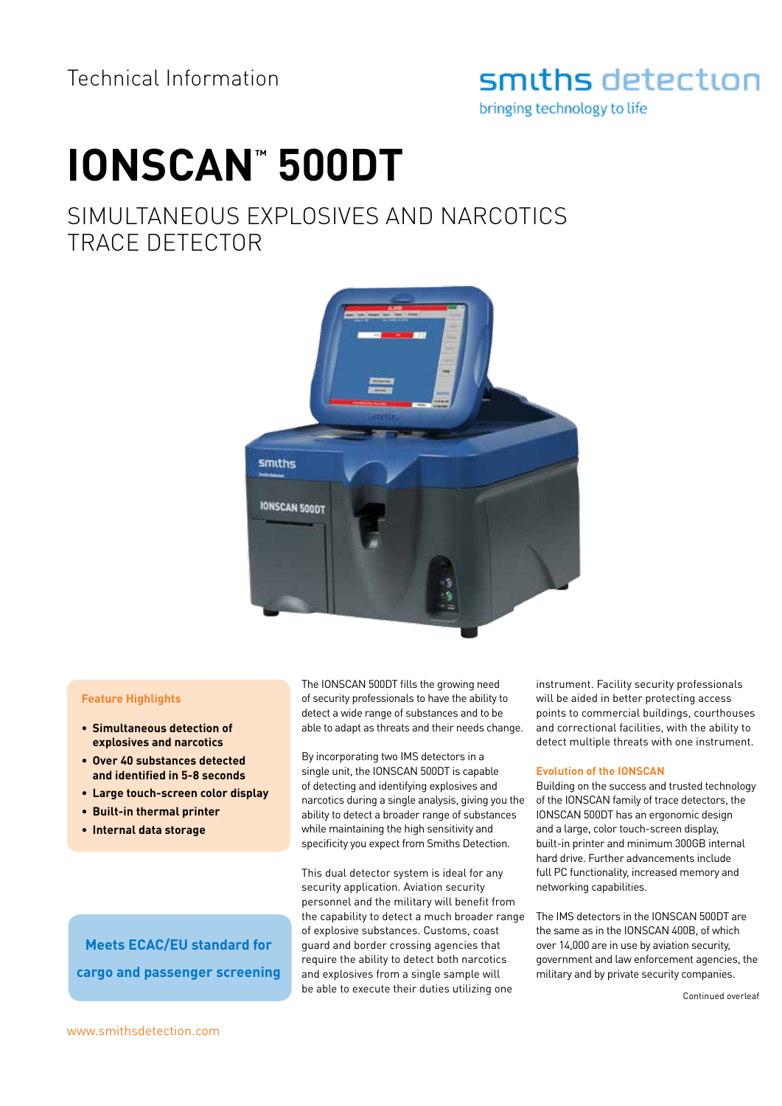## smiths detection

bringing technology to life

# **IONSCAN™ 500DT**

## SIMULTANEOUS EXPLOSIVES AND NARCOTICS TRACE DETECTOR



#### **Feature Highlights**

- **• Simultaneous detection of explosives and narcotics**
- **• Over 40 substances detected and identified in 5-8 seconds**
- **• Large touch-screen color display**
- **• Built-in thermal printer**
- **• Internal data storage**

The IONSCAN 500DT fills the growing need of security professionals to have the ability to detect a wide range of substances and to be able to adapt as threats and their needs change.

By incorporating two IMS detectors in a single unit, the IONSCAN 500DT is capable of detecting and identifying explosives and narcotics during a single analysis, giving you the ability to detect a broader range of substances while maintaining the high sensitivity and specificity you expect from Smiths Detection.

This dual detector system is ideal for any security application. Aviation security personnel and the military will benefit from the capability to detect a much broader range of explosive substances. Customs, coast guard and border crossing agencies that require the ability to detect both narcotics and explosives from a single sample will be able to execute their duties utilizing one

instrument. Facility security professionals will be aided in better protecting access points to commercial buildings, courthouses and correctional facilities, with the ability to detect multiple threats with one instrument.

#### **Evolution of the IONSCAN**

Building on the success and trusted technology of the IONSCAN family of trace detectors, the IONSCAN 500DT has an ergonomic design and a large, color touch-screen display, built-in printer and minimum 300GB internal hard drive. Further advancements include full PC functionality, increased memory and networking capabilities.

The IMS detectors in the IONSCAN 500DT are the same as in the IONSCAN 400B, of which over 14,000 are in use by aviation security, government and law enforcement agencies, the military and by private security companies.

Continued overleaf

**Meets ECAC/EU standard for cargo and passenger screening**